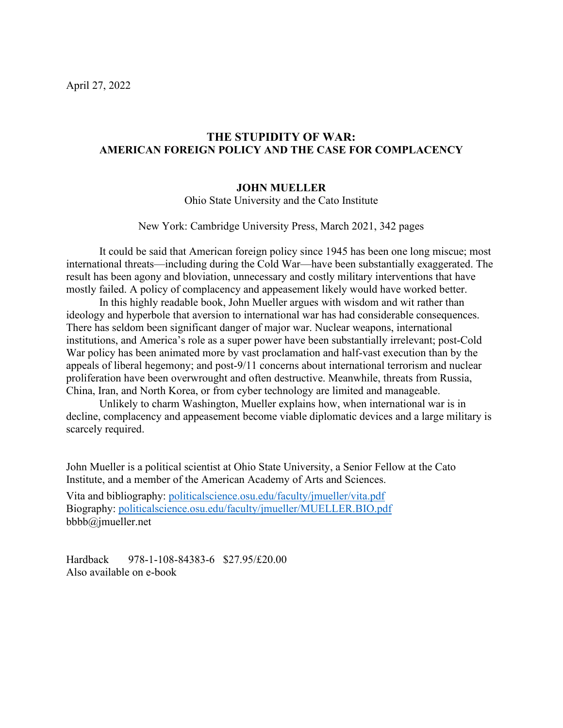# **THE STUPIDITY OF WAR: AMERICAN FOREIGN POLICY AND THE CASE FOR COMPLACENCY**

#### **JOHN MUELLER**

Ohio State University and the Cato Institute

New York: Cambridge University Press, March 2021, 342 pages

It could be said that American foreign policy since 1945 has been one long miscue; most international threats—including during the Cold War—have been substantially exaggerated. The result has been agony and bloviation, unnecessary and costly military interventions that have mostly failed. A policy of complacency and appeasement likely would have worked better.

In this highly readable book, John Mueller argues with wisdom and wit rather than ideology and hyperbole that aversion to international war has had considerable consequences. There has seldom been significant danger of major war. Nuclear weapons, international institutions, and America's role as a super power have been substantially irrelevant; post-Cold War policy has been animated more by vast proclamation and half-vast execution than by the appeals of liberal hegemony; and post-9/11 concerns about international terrorism and nuclear proliferation have been overwrought and often destructive. Meanwhile, threats from Russia, China, Iran, and North Korea, or from cyber technology are limited and manageable.

Unlikely to charm Washington, Mueller explains how, when international war is in decline, complacency and appeasement become viable diplomatic devices and a large military is scarcely required.

John Mueller is a political scientist at Ohio State University, a Senior Fellow at the Cato Institute, and a member of the American Academy of Arts and Sciences.

Vita and bibliography: [politicalscience.osu.edu/faculty/jmueller/vita.pdf](https://politicalscience.osu.edu/faculty/jmueller/vita.pdf) Biography: [politicalscience.osu.edu/faculty/jmueller/MUELLER.BIO.pdf](https://politicalscience.osu.edu/faculty/jmueller/vita.pdf) bbbb@jmueller.net

Hardback 978-1-108-84383-6 \$27.95/£20.00 Also available on e-book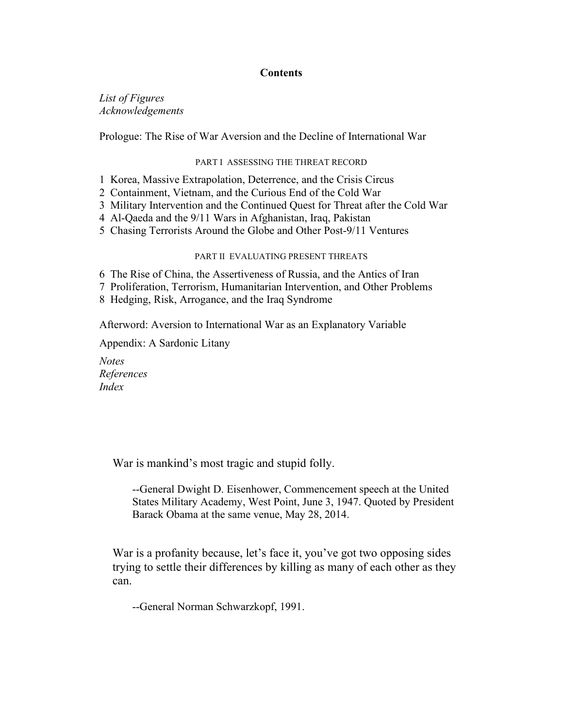### **Contents**

*List of Figures Acknowledgements*

Prologue: The Rise of War Aversion and the Decline of International War

#### PART I ASSESSING THE THREAT RECORD

- 1 Korea, Massive Extrapolation, Deterrence, and the Crisis Circus
- 2 Containment, Vietnam, and the Curious End of the Cold War
- 3 Military Intervention and the Continued Quest for Threat after the Cold War
- 4 Al-Qaeda and the 9/11 Wars in Afghanistan, Iraq, Pakistan
- 5 Chasing Terrorists Around the Globe and Other Post-9/11 Ventures

#### PART II EVALUATING PRESENT THREATS

6 The Rise of China, the Assertiveness of Russia, and the Antics of Iran

- 7 Proliferation, Terrorism, Humanitarian Intervention, and Other Problems
- 8 Hedging, Risk, Arrogance, and the Iraq Syndrome

Afterword: Aversion to International War as an Explanatory Variable

Appendix: A Sardonic Litany

*Notes References Index*

War is mankind's most tragic and stupid folly.

--General Dwight D. Eisenhower, Commencement speech at the United States Military Academy, West Point, June 3, 1947. Quoted by President Barack Obama at the same venue, May 28, 2014.

War is a profanity because, let's face it, you've got two opposing sides trying to settle their differences by killing as many of each other as they can.

--General Norman Schwarzkopf, 1991.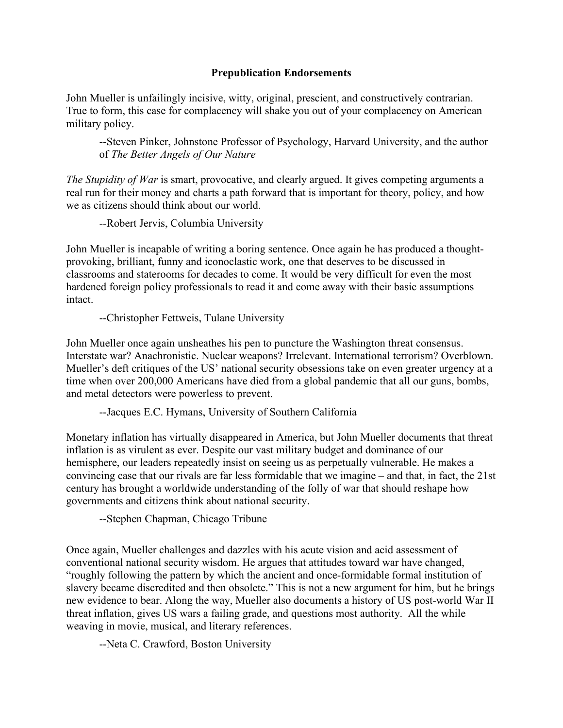## **Prepublication Endorsements**

John Mueller is unfailingly incisive, witty, original, prescient, and constructively contrarian. True to form, this case for complacency will shake you out of your complacency on American military policy.

--Steven Pinker, Johnstone Professor of Psychology, Harvard University, and the author of *The Better Angels of Our Nature*

*The Stupidity of War* is smart, provocative, and clearly argued. It gives competing arguments a real run for their money and charts a path forward that is important for theory, policy, and how we as citizens should think about our world.

--Robert Jervis, Columbia University

John Mueller is incapable of writing a boring sentence. Once again he has produced a thoughtprovoking, brilliant, funny and iconoclastic work, one that deserves to be discussed in classrooms and staterooms for decades to come. It would be very difficult for even the most hardened foreign policy professionals to read it and come away with their basic assumptions intact.

--Christopher Fettweis, Tulane University

John Mueller once again unsheathes his pen to puncture the Washington threat consensus. Interstate war? Anachronistic. Nuclear weapons? Irrelevant. International terrorism? Overblown. Mueller's deft critiques of the US' national security obsessions take on even greater urgency at a time when over 200,000 Americans have died from a global pandemic that all our guns, bombs, and metal detectors were powerless to prevent.

--Jacques E.C. Hymans, University of Southern California

Monetary inflation has virtually disappeared in America, but John Mueller documents that threat inflation is as virulent as ever. Despite our vast military budget and dominance of our hemisphere, our leaders repeatedly insist on seeing us as perpetually vulnerable. He makes a convincing case that our rivals are far less formidable that we imagine – and that, in fact, the 21st century has brought a worldwide understanding of the folly of war that should reshape how governments and citizens think about national security.

--Stephen Chapman, Chicago Tribune

Once again, Mueller challenges and dazzles with his acute vision and acid assessment of conventional national security wisdom. He argues that attitudes toward war have changed, "roughly following the pattern by which the ancient and once-formidable formal institution of slavery became discredited and then obsolete." This is not a new argument for him, but he brings new evidence to bear. Along the way, Mueller also documents a history of US post-world War II threat inflation, gives US wars a failing grade, and questions most authority. All the while weaving in movie, musical, and literary references.

--Neta C. Crawford, Boston University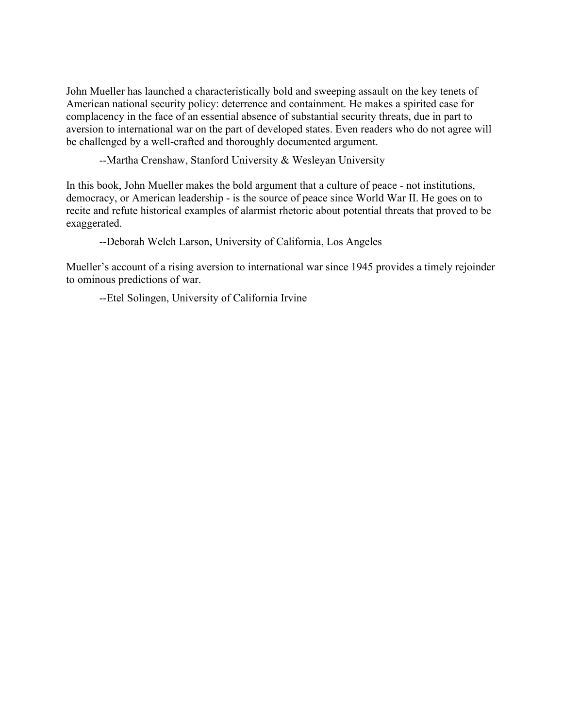John Mueller has launched a characteristically bold and sweeping assault on the key tenets of American national security policy: deterrence and containment. He makes a spirited case for complacency in the face of an essential absence of substantial security threats, due in part to aversion to international war on the part of developed states. Even readers who do not agree will be challenged by a well-crafted and thoroughly documented argument.

--Martha Crenshaw, Stanford University & Wesleyan University

In this book, John Mueller makes the bold argument that a culture of peace - not institutions, democracy, or American leadership - is the source of peace since World War II. He goes on to recite and refute historical examples of alarmist rhetoric about potential threats that proved to be exaggerated.

--Deborah Welch Larson, University of California, Los Angeles

Mueller's account of a rising aversion to international war since 1945 provides a timely rejoinder to ominous predictions of war.

--Etel Solingen, University of California Irvine